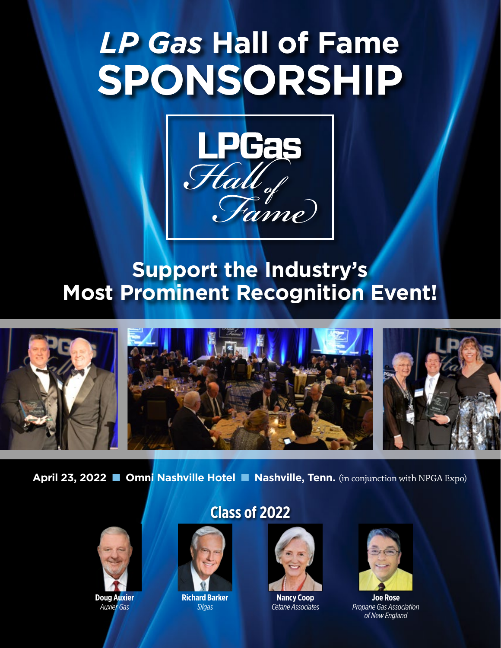# *LP Gas* **Hall of Fame SPONSORSHIP**



# **Support the Industry's Most Prominent Recognition Event!**







**April 23, 2022** ■ **Omni Nashville Hotel** ■ **Nashville, Tenn.** (in conjunction with NPGA Expo)



**Doug Auxier** *Auxier Gas*

# **Class of 2022**



**Richard Barker** *Silgas*



**Nancy Coop** *Cetane Associates*



**Joe Rose** *Propane Gas Association of New England*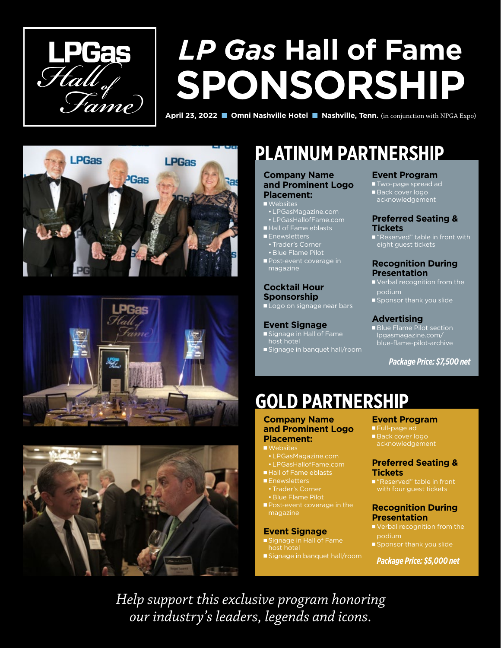

# *LP Gas* **Hall of Fame SPONSORSHIP**

**April 23, 2022** ■ **Omni Nashville Hotel** ■ **Nashville, Tenn.** (in conjunction with NPGA Expo)







# **PLATINUM PARTNERSHIP**

#### **Company Name and Prominent Logo Placement:**

#### ■ Websites

- •LPGasMagazine.com •LPGasHallofFame.com
- Hall of Fame eblasts
- Enewsletters •Trader's Corner
- Blue Flame Pilot
- Post-event coverage in magazine

### **Cocktail Hour Sponsorship**

■ Logo on signage near bars

#### **Event Signage**

- Signage in Hall of Fame host hotel
- Signage in banquet hall/room

#### **Event Program**

- Two-page spread ad ■ Back cover logo
- acknowledgement

#### **Preferred Seating & Tickets**

■ "Reserved" table in front with eight guest tickets

#### **Recognition During Presentation**

- Verbal recognition from the podium
- Sponsor thank you slide

### **Advertising**

■ Blue Flame Pilot section lpgasmagazine.com/ blue-flame-pilot-archive

*Package Price: \$7,500 net*

# **GOLD PARTNERSHIP**

#### **Company Name and Prominent Logo Placement:**

- Websites
- •LPGasMagazine.com
- •LPGasHallofFame.com
- Hall of Fame eblasts
- Enewsletters
- 
- Blue Flame Pilot
- Post-event coverage in the magazine

#### **Event Signage**

- Signage in Hall of Fame host hotel
- Signage in banquet hall/room

#### **Event Program**

- Full-page ad ■ Back cover logo
- acknowledgement

#### **Preferred Seating & Tickets**

■ "Reserved" table in front with four guest tickets

#### **Recognition During Presentation**

- Verbal recognition from the podium
- Sponsor thank you slide

*Package Price: \$5,000 net*

*Help support this exclusive program honoring our industry's leaders, legends and icons.*